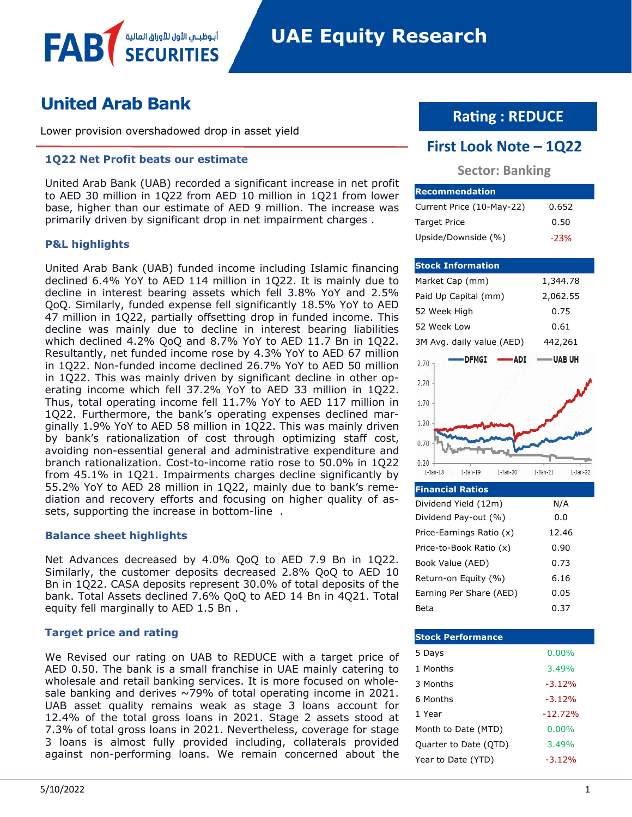# **United Arab Bank**

Lower provision overshadowed drop in asset yield

أبوظبـي الأول للأوراق المالا

### **1Q22 Net Profit beats our estimate**

United Arab Bank (UAB) recorded a significant increase in net profit to AED 30 million in 1Q22 from AED 10 million in 1Q21 from lower base, higher than our estimate of AED 9 million. The increase was primarily driven by significant drop in net impairment charges .

### **P&L highlights**

FAB

United Arab Bank (UAB) funded income including Islamic financing declined 6.4% YoY to AED 114 million in 1Q22. It is mainly due to decline in interest bearing assets which fell 3.8% YoY and 2.5% QoQ. Similarly, funded expense fell significantly 18.5% YoY to AED 47 million in 1Q22, partially offsetting drop in funded income. This decline was mainly due to decline in interest bearing liabilities which declined 4.2% QoQ and 8.7% YoY to AED 11.7 Bn in 1Q22. Resultantly, net funded income rose by 4.3% YoY to AED 67 million in 1Q22. Non-funded income declined 26.7% YoY to AED 50 million in 1Q22. This was mainly driven by significant decline in other operating income which fell 37.2% YoY to AED 33 million in 1Q22. Thus, total operating income fell 11.7% YoY to AED 117 million in 1Q22. Furthermore, the bank's operating expenses declined marginally 1.9% YoY to AED 58 million in 1Q22. This was mainly driven by bank's rationalization of cost through optimizing staff cost, avoiding non-essential general and administrative expenditure and branch rationalization. Cost-to-income ratio rose to 50.0% in 1Q22 from 45.1% in 1Q21. Impairments charges decline significantly by 55.2% YoY to AED 28 million in 1Q22, mainly due to bank's remediation and recovery efforts and focusing on higher quality of assets, supporting the increase in bottom-line .

### **Balance sheet highlights**

Net Advances decreased by 4.0% QoQ to AED 7.9 Bn in 1Q22. Similarly, the customer deposits decreased 2.8% QoQ to AED 10 Bn in 1Q22. CASA deposits represent 30.0% of total deposits of the bank. Total Assets declined 7.6% QoQ to AED 14 Bn in 4Q21. Total equity fell marginally to AED 1.5 Bn .

### **Target price and rating**

We Revised our rating on UAB to REDUCE with a target price of AED 0.50. The bank is a small franchise in UAE mainly catering to wholesale and retail banking services. It is more focused on wholesale banking and derives  $\sim$ 79% of total operating income in 2021. UAB asset quality remains weak as stage 3 loans account for 12.4% of the total gross loans in 2021. Stage 2 assets stood at 7.3% of total gross loans in 2021. Nevertheless, coverage for stage 3 loans is almost fully provided including, collaterals provided against non-performing loans. We remain concerned about the

# **Rating : REDUCE**

### **First Look Note – 1Q22**

### **Sector: Banking**

| <b>IRecommendation</b>    |        |
|---------------------------|--------|
| Current Price (10-May-22) | 0.652  |
| <b>Target Price</b>       | 0.50   |
| Upside/Downside (%)       | $-23%$ |

#### **Stock Information** Market Cap (mm) 1,344.78 Paid Up Capital (mm) 2,062.55 52 Week High 0.75 52 Week Low 0.61 3M Avg. daily value (AED) 442,261 - DFMGI -**ADI UABUH** 2.70  $2.20$ 1.70 1.20  $0.70$  $0.20$  $1$ -Jan- $18$  $1$ -Jan- $19$  $1$ -Jan-20  $1-Jan-22$  $1$ -Jan- $21$

| <b>Financial Ratios</b>  |       |
|--------------------------|-------|
| Dividend Yield (12m)     | N/A   |
| Dividend Pay-out (%)     | 0.O   |
| Price-Earnings Ratio (x) | 12.46 |
| Price-to-Book Ratio (x)  | 0.90  |
| Book Value (AED)         | 0.73  |
| Return-on Equity (%)     | 6.16  |
| Earning Per Share (AED)  | 0.05  |
| Beta                     | 0.37  |

| <b>Stock Performance</b> |           |
|--------------------------|-----------|
| 5 Days                   | $0.00\%$  |
| 1 Months                 | 3.49%     |
| 3 Months                 | $-3.12%$  |
| 6 Months                 | $-3.12%$  |
| 1 Year                   | $-12.72%$ |
| Month to Date (MTD)      | $0.00\%$  |
| Quarter to Date (QTD)    | 3.49%     |
| Year to Date (YTD)       | $-3.12%$  |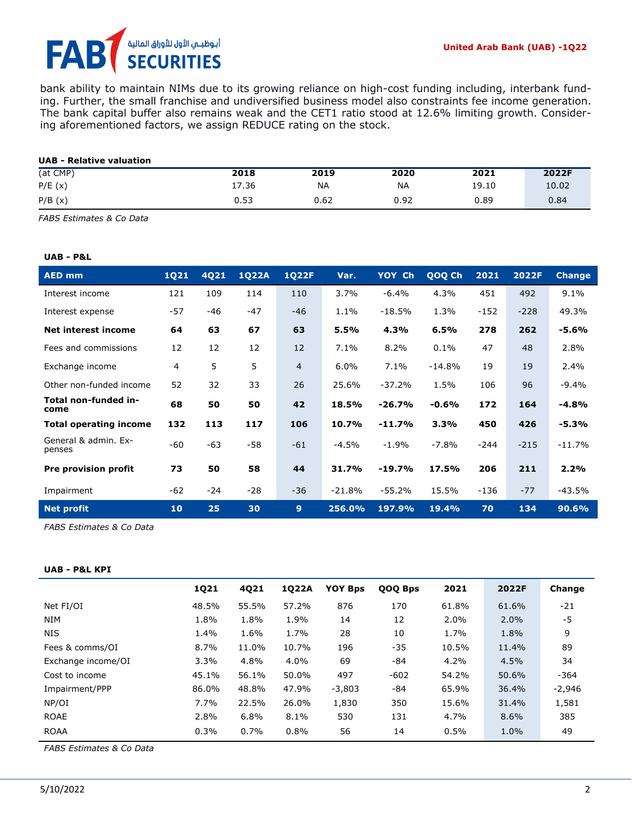## أبوظبــي الأول للأوراق المالية FA **SECURITIES**

bank ability to maintain NIMs due to its growing reliance on high-cost funding including, interbank funding. Further, the small franchise and undiversified business model also constraints fee income generation. The bank capital buffer also remains weak and the CET1 ratio stood at 12.6% limiting growth. Considering aforementioned factors, we assign REDUCE rating on the stock.

| <b>UAB - Relative valuation</b> |       |      |           |       |       |
|---------------------------------|-------|------|-----------|-------|-------|
| (at CMP)                        | 2018  | 2019 | 2020      | 2021  | 2022F |
| P/E(x)                          | 17.36 | NA   | <b>NA</b> | 19.10 | 10.02 |
| P/B(x)                          | 0.53  | 0.62 | 0.92      | 0.89  | 0.84  |

*FABS Estimates & Co Data*

### **UAB - P&L**

| <b>AED mm</b>                  | <b>1Q21</b> | 4Q21  | <b>1Q22A</b> | <b>1Q22F</b>   | Var.     | YOY Ch   | QOQ Ch   | 2021   | 2022F  | <b>Change</b> |
|--------------------------------|-------------|-------|--------------|----------------|----------|----------|----------|--------|--------|---------------|
| Interest income                | 121         | 109   | 114          | 110            | 3.7%     | $-6.4%$  | 4.3%     | 451    | 492    | 9.1%          |
| Interest expense               | $-57$       | -46   | $-47$        | $-46$          | 1.1%     | $-18.5%$ | 1.3%     | $-152$ | $-228$ | 49.3%         |
| <b>Net interest income</b>     | 64          | 63    | 67           | 63             | 5.5%     | 4.3%     | 6.5%     | 278    | 262    | $-5.6%$       |
| Fees and commissions           | 12          | 12    | 12           | 12             | 7.1%     | 8.2%     | 0.1%     | 47     | 48     | 2.8%          |
| Exchange income                | 4           | 5     | 5            | $\overline{4}$ | 6.0%     | 7.1%     | $-14.8%$ | 19     | 19     | 2.4%          |
| Other non-funded income        | 52          | 32    | 33           | 26             | 25.6%    | $-37.2%$ | 1.5%     | 106    | 96     | $-9.4%$       |
| Total non-funded in-<br>come   | 68          | 50    | 50           | 42             | 18.5%    | $-26.7%$ | $-0.6%$  | 172    | 164    | $-4.8%$       |
| <b>Total operating income</b>  | 132         | 113   | 117          | 106            | 10.7%    | $-11.7%$ | 3.3%     | 450    | 426    | $-5.3%$       |
| General & admin. Ex-<br>penses | -60         | $-63$ | $-58$        | $-61$          | $-4.5%$  | $-1.9%$  | $-7.8%$  | $-244$ | $-215$ | $-11.7%$      |
| <b>Pre provision profit</b>    | 73          | 50    | 58           | 44             | 31.7%    | $-19.7%$ | 17.5%    | 206    | 211    | 2.2%          |
| Impairment                     | $-62$       | $-24$ | $-28$        | $-36$          | $-21.8%$ | $-55.2%$ | 15.5%    | $-136$ | $-77$  | $-43.5%$      |
| <b>Net profit</b>              | 10          | 25    | 30           | 9              | 256.0%   | 197.9%   | 19.4%    | 70     | 134    | 90.6%         |

*FABS Estimates & Co Data* 

#### **UAB - P&L KPI**

|                    | 1Q21  | 4Q21  | 1Q22A | <b>YOY Bps</b> | QOQ Bps | 2021  | 2022F | Change   |
|--------------------|-------|-------|-------|----------------|---------|-------|-------|----------|
| Net FI/OI          | 48.5% | 55.5% | 57.2% | 876            | 170     | 61.8% | 61.6% | -21      |
| <b>NIM</b>         | 1.8%  | 1.8%  | 1.9%  | 14             | 12      | 2.0%  | 2.0%  | $-5$     |
| <b>NIS</b>         | 1.4%  | 1.6%  | 1.7%  | 28             | 10      | 1.7%  | 1.8%  | 9        |
| Fees & comms/OI    | 8.7%  | 11.0% | 10.7% | 196            | $-35$   | 10.5% | 11.4% | 89       |
| Exchange income/OI | 3.3%  | 4.8%  | 4.0%  | 69             | -84     | 4.2%  | 4.5%  | 34       |
| Cost to income     | 45.1% | 56.1% | 50.0% | 497            | $-602$  | 54.2% | 50.6% | $-364$   |
| Impairment/PPP     | 86.0% | 48.8% | 47.9% | $-3,803$       | $-84$   | 65.9% | 36.4% | $-2,946$ |
| NP/OI              | 7.7%  | 22.5% | 26.0% | 1,830          | 350     | 15.6% | 31.4% | 1,581    |
| <b>ROAE</b>        | 2.8%  | 6.8%  | 8.1%  | 530            | 131     | 4.7%  | 8.6%  | 385      |
| <b>ROAA</b>        | 0.3%  | 0.7%  | 0.8%  | 56             | 14      | 0.5%  | 1.0%  | 49       |

*FABS Estimates & Co Data*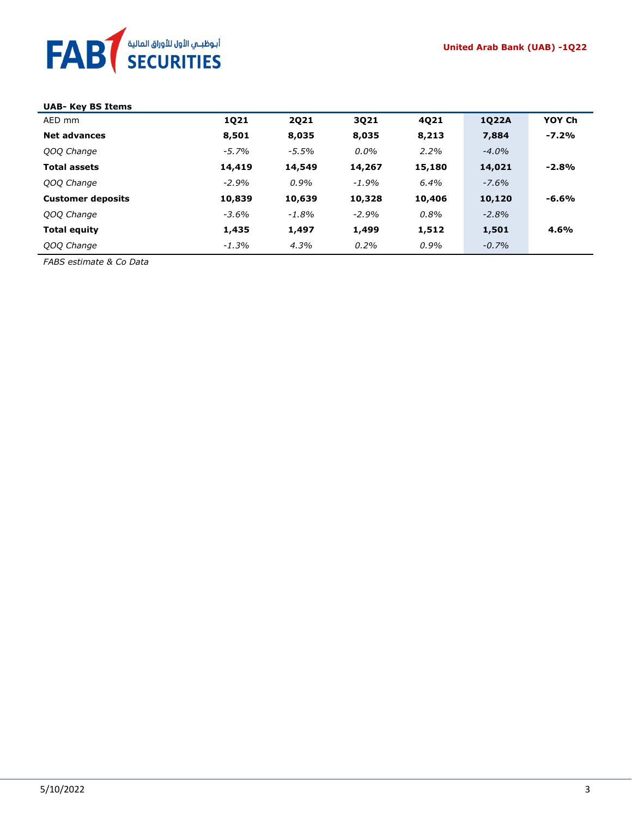

| <b>UAB- Key BS Items</b> |          |          |         |        |          |         |
|--------------------------|----------|----------|---------|--------|----------|---------|
| AED mm                   | 1021     | 2021     | 3021    | 4021   | 1022A    | YOY Ch  |
| <b>Net advances</b>      | 8,501    | 8,035    | 8,035   | 8,213  | 7,884    | $-7.2%$ |
| QOQ Change               | $-5.7%$  | $-5.5%$  | $0.0\%$ | 2.2%   | $-4.0%$  |         |
| <b>Total assets</b>      | 14,419   | 14,549   | 14,267  | 15,180 | 14,021   | $-2.8%$ |
| QOQ Change               | $-2.9%$  | 0.9%     | $-1.9%$ | 6.4%   | $-7.6%$  |         |
| <b>Customer deposits</b> | 10,839   | 10,639   | 10,328  | 10,406 | 10,120   | $-6.6%$ |
| QOQ Change               | $-3.6\%$ | $-1.8\%$ | $-2.9%$ | 0.8%   | $-2.8%$  |         |
| <b>Total equity</b>      | 1,435    | 1,497    | 1,499   | 1,512  | 1,501    | 4.6%    |
| QOQ Change               | $-1.3%$  | 4.3%     | $0.2\%$ | 0.9%   | $-0.7\%$ |         |

*FABS estimate & Co Data*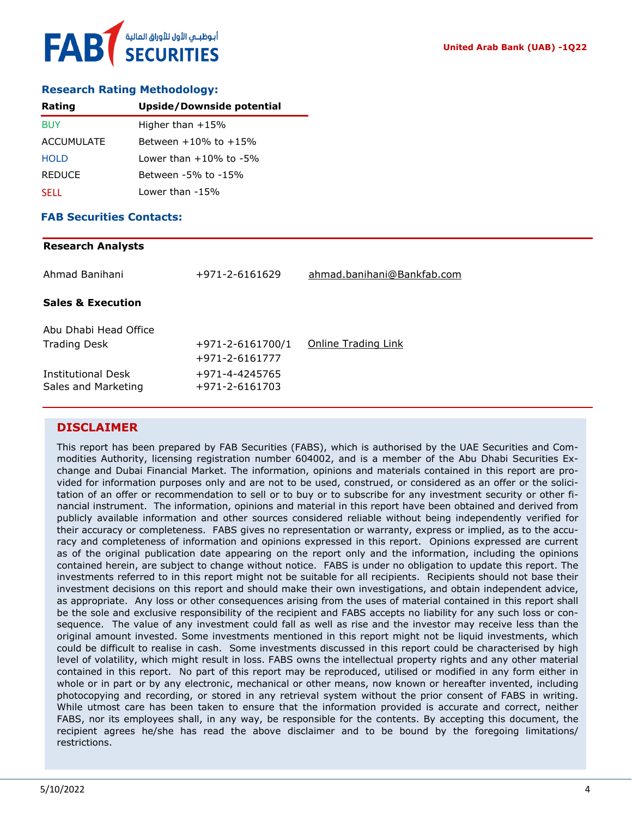### **Research Rating Methodology:**

| Rating            | Upside/Downside potential  |
|-------------------|----------------------------|
| <b>BUY</b>        | Higher than $+15%$         |
| <b>ACCUMULATE</b> | Between $+10\%$ to $+15\%$ |
| <b>HOLD</b>       | l ower than +10% to -5%    |
| <b>REDUCE</b>     | Between -5% to -15%        |
| <b>SELL</b>       | Lower than -15%            |

### **FAB Securities Contacts:**

#### **Research Analysts**

| Ahmad Banihani                                   | +971-2-6161629                   | ahmad.banihani@Bankfab.com |
|--------------------------------------------------|----------------------------------|----------------------------|
| <b>Sales &amp; Execution</b>                     |                                  |                            |
| Abu Dhabi Head Office                            |                                  |                            |
| <b>Trading Desk</b>                              | $+971 - 2 - 6161700/1$           | Online Trading Link        |
|                                                  | +971-2-6161777                   |                            |
| <b>Institutional Desk</b><br>Sales and Marketing | +971-4-4245765<br>+971-2-6161703 |                            |

### **DISCLAIMER**

This report has been prepared by FAB Securities (FABS), which is authorised by the UAE Securities and Commodities Authority, licensing registration number 604002, and is a member of the Abu Dhabi Securities Exchange and Dubai Financial Market. The information, opinions and materials contained in this report are provided for information purposes only and are not to be used, construed, or considered as an offer or the solicitation of an offer or recommendation to sell or to buy or to subscribe for any investment security or other financial instrument. The information, opinions and material in this report have been obtained and derived from publicly available information and other sources considered reliable without being independently verified for their accuracy or completeness. FABS gives no representation or warranty, express or implied, as to the accuracy and completeness of information and opinions expressed in this report. Opinions expressed are current as of the original publication date appearing on the report only and the information, including the opinions contained herein, are subject to change without notice. FABS is under no obligation to update this report. The investments referred to in this report might not be suitable for all recipients. Recipients should not base their investment decisions on this report and should make their own investigations, and obtain independent advice, as appropriate. Any loss or other consequences arising from the uses of material contained in this report shall be the sole and exclusive responsibility of the recipient and FABS accepts no liability for any such loss or consequence. The value of any investment could fall as well as rise and the investor may receive less than the original amount invested. Some investments mentioned in this report might not be liquid investments, which could be difficult to realise in cash. Some investments discussed in this report could be characterised by high level of volatility, which might result in loss. FABS owns the intellectual property rights and any other material contained in this report. No part of this report may be reproduced, utilised or modified in any form either in whole or in part or by any electronic, mechanical or other means, now known or hereafter invented, including photocopying and recording, or stored in any retrieval system without the prior consent of FABS in writing. While utmost care has been taken to ensure that the information provided is accurate and correct, neither FABS, nor its employees shall, in any way, be responsible for the contents. By accepting this document, the recipient agrees he/she has read the above disclaimer and to be bound by the foregoing limitations/ restrictions.